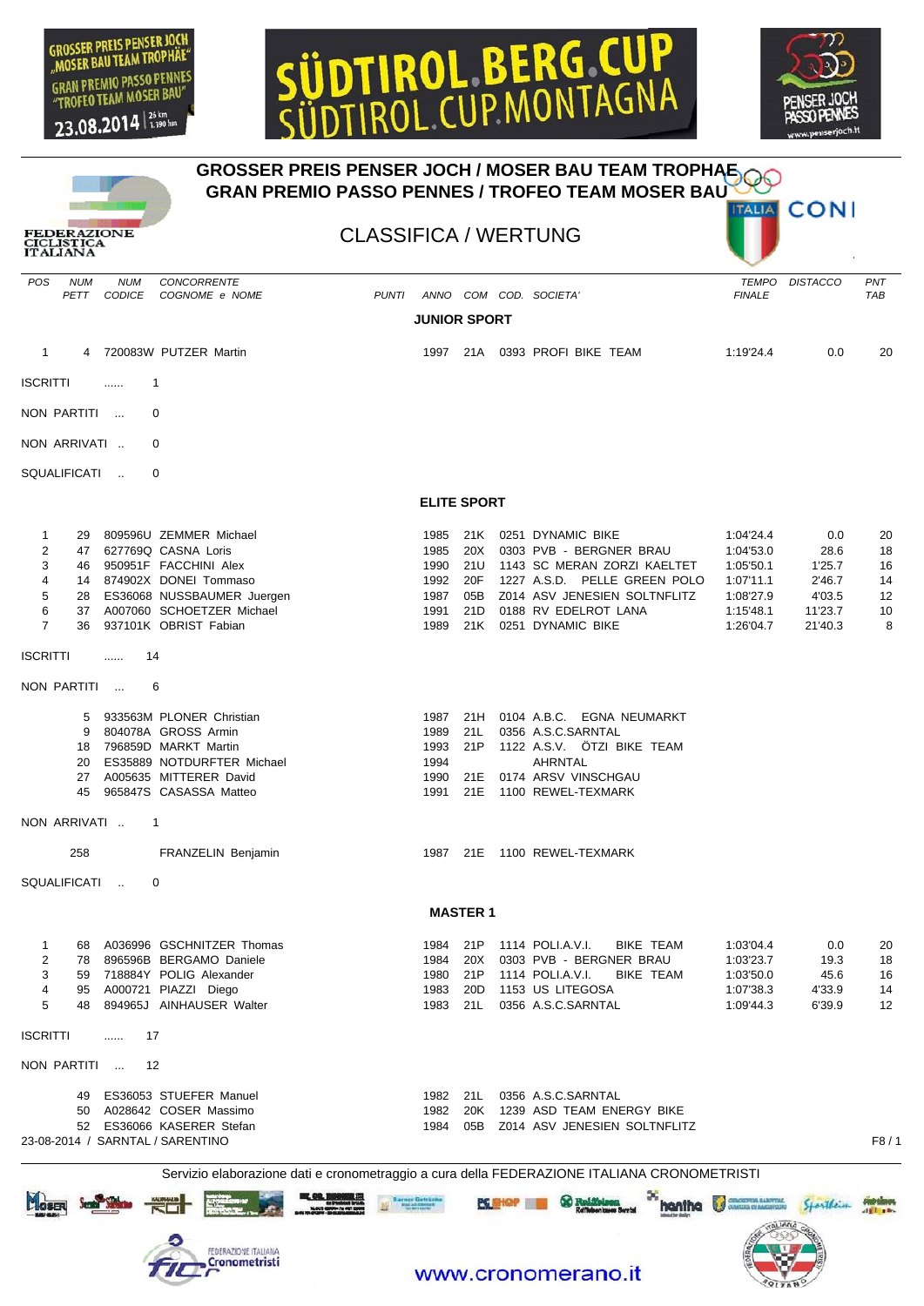

## DTIROL BERG C CUP MONTAGN





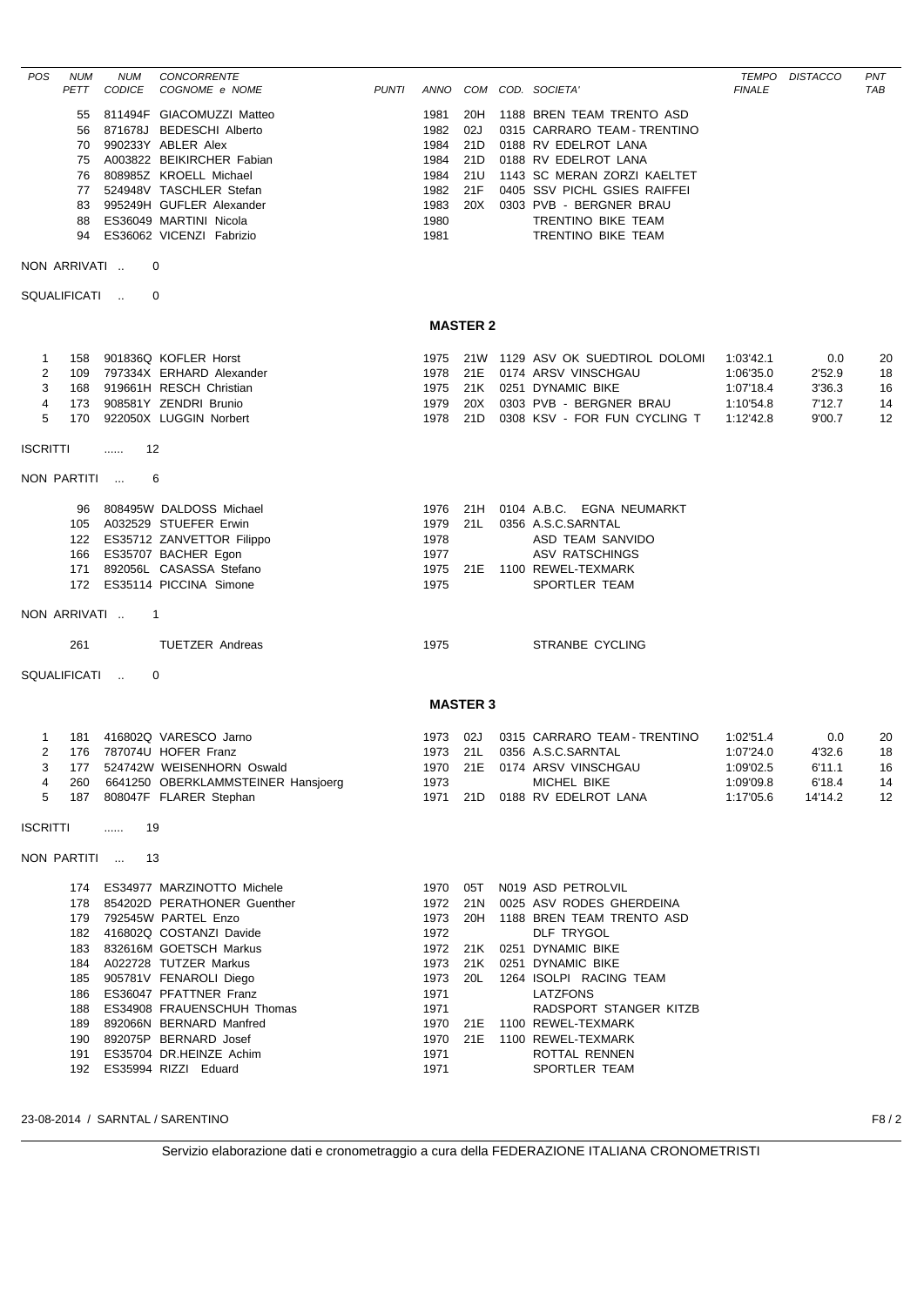| POS                                                 | <b>NUM</b><br>PETT               | <b>NUM</b><br><b>CODICE</b> | <b>CONCORRENTE</b><br>COGNOME e NOME                                                                                                                                                                                                                                                                                                                                                                        | <b>PUNTI</b> |                                                                      |                                        | ANNO COM COD. SOCIETA'                                                                                                                                                                                                                                                                                                                         | <b>FINALE</b>                                                 | TEMPO DISTACCO                               | <b>PNT</b><br><b>TAB</b>   |
|-----------------------------------------------------|----------------------------------|-----------------------------|-------------------------------------------------------------------------------------------------------------------------------------------------------------------------------------------------------------------------------------------------------------------------------------------------------------------------------------------------------------------------------------------------------------|--------------|----------------------------------------------------------------------|----------------------------------------|------------------------------------------------------------------------------------------------------------------------------------------------------------------------------------------------------------------------------------------------------------------------------------------------------------------------------------------------|---------------------------------------------------------------|----------------------------------------------|----------------------------|
|                                                     | 55<br>56<br>70<br>75<br>76<br>88 |                             | 811494F GIACOMUZZI Matteo<br>871678J BEDESCHI Alberto<br>990233Y ABLER Alex<br>A003822 BEIKIRCHER Fabian<br>808985Z KROELL Michael<br>77 524948V TASCHLER Stefan<br>83 995249H GUFLER Alexander<br>ES36049 MARTINI Nicola<br>94 ES36062 VICENZI Fabrizio                                                                                                                                                    |              | 1981<br>1982<br>1984<br>1984<br>1984<br>1982<br>1983<br>1980<br>1981 | 20H<br>02J<br>21D<br>21D<br>21U<br>21F | 1188 BREN TEAM TRENTO ASD<br>0315 CARRARO TEAM - TRENTINO<br>0188 RV EDELROT LANA<br>0188 RV EDELROT LANA<br>1143 SC MERAN ZORZI KAELTET<br>0405 SSV PICHL GSIES RAIFFEI<br>20X 0303 PVB - BERGNER BRAU<br>TRENTINO BIKE TEAM<br>TRENTINO BIKE TEAM                                                                                            |                                                               |                                              |                            |
|                                                     | NON ARRIVATI                     |                             | 0                                                                                                                                                                                                                                                                                                                                                                                                           |              |                                                                      |                                        |                                                                                                                                                                                                                                                                                                                                                |                                                               |                                              |                            |
|                                                     | SQUALIFICATI                     |                             | 0                                                                                                                                                                                                                                                                                                                                                                                                           |              |                                                                      |                                        |                                                                                                                                                                                                                                                                                                                                                |                                                               |                                              |                            |
|                                                     |                                  |                             |                                                                                                                                                                                                                                                                                                                                                                                                             |              |                                                                      | <b>MASTER 2</b>                        |                                                                                                                                                                                                                                                                                                                                                |                                                               |                                              |                            |
| $\mathbf{1}$<br>2<br>3<br>4<br>5<br><b>ISCRITTI</b> | 158<br>109<br>168<br>170         | -12<br>$\ldots$             | 901836Q KOFLER Horst<br>797334X ERHARD Alexander<br>919661H RESCH Christian<br>173 908581Y ZENDRI Brunio<br>922050X LUGGIN Norbert                                                                                                                                                                                                                                                                          |              | 1975<br>1975<br>1979<br>1978                                         | 21D                                    | 21W 1129 ASV OK SUEDTIROL DOLOMI<br>1978 21E 0174 ARSV VINSCHGAU<br>21K 0251 DYNAMIC BIKE<br>20X 0303 PVB - BERGNER BRAU<br>0308 KSV - FOR FUN CYCLING T                                                                                                                                                                                       | 1:03'42.1<br>1:06'35.0<br>1:07'18.4<br>1:10'54.8<br>1:12'42.8 | 0.0<br>2'52.9<br>3'36.3<br>7'12.7<br>9'00.7  | 20<br>18<br>16<br>14<br>12 |
|                                                     | NON PARTITI                      |                             | 6                                                                                                                                                                                                                                                                                                                                                                                                           |              |                                                                      |                                        |                                                                                                                                                                                                                                                                                                                                                |                                                               |                                              |                            |
|                                                     | 96<br>105<br>171                 |                             | 808495W DALDOSS Michael<br>A032529 STUEFER Erwin<br>122 ES35712 ZANVETTOR Filippo<br>166 ES35707 BACHER Egon<br>892056L CASASSA Stefano<br>172 ES35114 PICCINA Simone                                                                                                                                                                                                                                       |              | 1976<br>1978<br>1977<br>1975                                         | 1979 21L                               | 21H 0104 A.B.C. EGNA NEUMARKT<br>0356 A.S.C.SARNTAL<br>ASD TEAM SANVIDO<br>ASV RATSCHINGS<br>1975 21E 1100 REWEL-TEXMARK<br>SPORTLER TEAM                                                                                                                                                                                                      |                                                               |                                              |                            |
|                                                     | NON ARRIVATI                     |                             | $\overline{1}$                                                                                                                                                                                                                                                                                                                                                                                              |              |                                                                      |                                        |                                                                                                                                                                                                                                                                                                                                                |                                                               |                                              |                            |
|                                                     | 261                              |                             | <b>TUETZER Andreas</b>                                                                                                                                                                                                                                                                                                                                                                                      |              | 1975                                                                 |                                        | STRANBE CYCLING                                                                                                                                                                                                                                                                                                                                |                                                               |                                              |                            |
|                                                     | SQUALIFICATI                     |                             | 0                                                                                                                                                                                                                                                                                                                                                                                                           |              |                                                                      |                                        |                                                                                                                                                                                                                                                                                                                                                |                                                               |                                              |                            |
|                                                     |                                  |                             |                                                                                                                                                                                                                                                                                                                                                                                                             |              |                                                                      | <b>MASTER 3</b>                        |                                                                                                                                                                                                                                                                                                                                                |                                                               |                                              |                            |
| 1<br>2<br>4<br>5                                    | 181                              |                             | 416802Q VARESCO Jarno<br>176 787074U HOFER Franz<br>177 524742W WEISENHORN Oswald<br>260 6641250 OBERKLAMMSTEINER Hansjoerg<br>187 808047F FLARER Stephan                                                                                                                                                                                                                                                   |              | 1973 02J<br>1973                                                     |                                        | 0315 CARRARO TEAM - TRENTINO<br>1973 21L 0356 A.S.C.SARNTAL<br>1970 21E 0174 ARSV VINSCHGAU<br>MICHEL BIKE<br>1971 21D 0188 RV EDELROT LANA                                                                                                                                                                                                    | 1:02'51.4<br>1:07'24.0<br>1:09'02.5<br>1:09'09.8<br>1:17'05.6 | 0.0<br>4'32.6<br>6'11.1<br>6'18.4<br>14'14.2 | 20<br>18<br>16<br>14<br>12 |
| <b>ISCRITTI</b>                                     |                                  | 19<br>.                     |                                                                                                                                                                                                                                                                                                                                                                                                             |              |                                                                      |                                        |                                                                                                                                                                                                                                                                                                                                                |                                                               |                                              |                            |
|                                                     | NON PARTITI                      | -13                         |                                                                                                                                                                                                                                                                                                                                                                                                             |              |                                                                      |                                        |                                                                                                                                                                                                                                                                                                                                                |                                                               |                                              |                            |
|                                                     |                                  |                             | 174 ES34977 MARZINOTTO Michele<br>178 854202D PERATHONER Guenther<br>179 792545W PARTEL Enzo<br>182 416802Q COSTANZI Davide<br>183 832616M GOETSCH Markus<br>184 A022728 TUTZER Markus<br>185 905781V FENAROLI Diego<br>186 ES36047 PFATTNER Franz<br>188 ES34908 FRAUENSCHUH Thomas<br>189 892066N BERNARD Manfred<br>190 892075P BERNARD Josef<br>191 ES35704 DR.HEINZE Achim<br>192 ES35994 RIZZI Eduard |              | 1973<br>1972<br>1973<br>1973<br>1971<br>1971<br>1971<br>1971         | 20L                                    | 1970 05T N019 ASD PETROLVIL<br>1972 21N 0025 ASV RODES GHERDEINA<br>20H 1188 BREN TEAM TRENTO ASD<br>DLF TRYGOL<br>1972 21K 0251 DYNAMIC BIKE<br>21K 0251 DYNAMIC BIKE<br>1264 ISOLPI RACING TEAM<br><b>LATZFONS</b><br>RADSPORT STANGER KITZB<br>1970 21E 1100 REWEL-TEXMARK<br>1970 21E 1100 REWEL-TEXMARK<br>ROTTAL RENNEN<br>SPORTLER TEAM |                                                               |                                              |                            |
|                                                     |                                  |                             | 23-08-2014 / SARNTAL / SARENTINO                                                                                                                                                                                                                                                                                                                                                                            |              |                                                                      |                                        |                                                                                                                                                                                                                                                                                                                                                |                                                               |                                              | F8/2                       |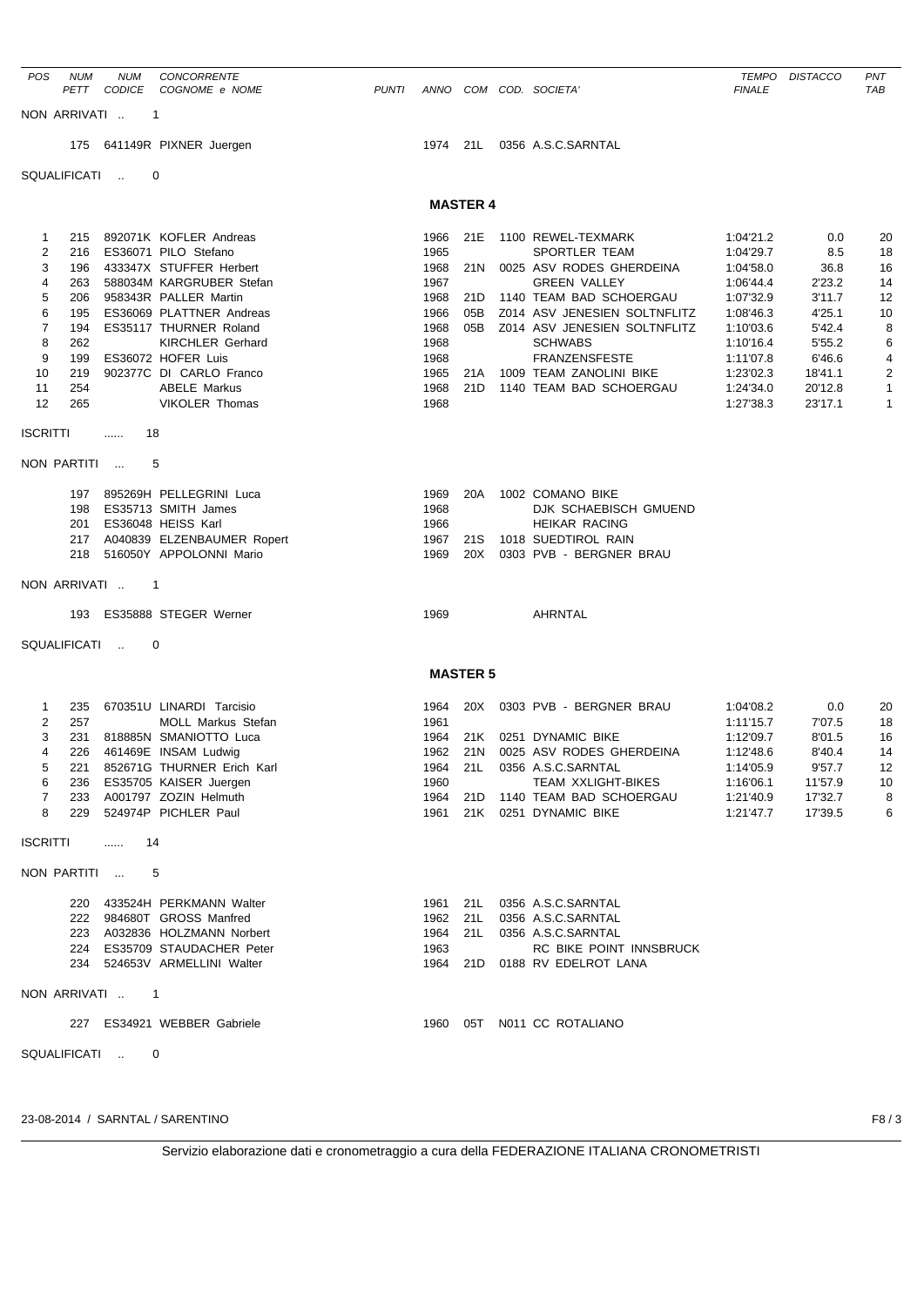| POS             | <b>NUM</b>   | NUM             | <b>CONCORRENTE</b>                                            |              |              |                 |                                                |                        | TEMPO DISTACCO     | PNT            |
|-----------------|--------------|-----------------|---------------------------------------------------------------|--------------|--------------|-----------------|------------------------------------------------|------------------------|--------------------|----------------|
|                 |              | PETT CODICE     | COGNOME e NOME                                                | <b>PUNTI</b> |              |                 | ANNO COM COD. SOCIETA'                         | <b>FINALE</b>          |                    | TAB            |
|                 | NON ARRIVATI | -1              |                                                               |              |              |                 |                                                |                        |                    |                |
|                 |              |                 |                                                               |              |              |                 | 1974 21L 0356 A.S.C.SARNTAL                    |                        |                    |                |
|                 |              |                 | 175 641149R PIXNER Juergen                                    |              |              |                 |                                                |                        |                    |                |
|                 | SQUALIFICATI |                 | 0                                                             |              |              |                 |                                                |                        |                    |                |
|                 |              |                 |                                                               |              |              | <b>MASTER 4</b> |                                                |                        |                    |                |
|                 | 215          |                 | 892071K KOFLER Andreas                                        |              |              |                 | 1100 REWEL-TEXMARK                             |                        |                    |                |
| 1<br>2          | 216          |                 | ES36071 PILO Stefano                                          |              | 1966<br>1965 | 21E             | SPORTLER TEAM                                  | 1:04'21.2<br>1:04'29.7 | 0.0<br>8.5         | 20<br>18       |
| 3               | 196          |                 | 433347X STUFFER Herbert                                       |              | 1968         | 21N             | 0025 ASV RODES GHERDEINA                       | 1:04'58.0              | 36.8               | 16             |
| 4               | 263          |                 | 588034M KARGRUBER Stefan                                      |              | 1967         |                 | <b>GREEN VALLEY</b>                            | 1:06'44.4              | 2'23.2             | 14             |
| 5               | 206          |                 | 958343R PALLER Martin                                         |              | 1968         | 21D             | 1140 TEAM BAD SCHOERGAU                        | 1:07'32.9              | 3'11.7             | 12             |
| 6               | 195          |                 | ES36069 PLATTNER Andreas                                      |              | 1966         | 05B             | Z014 ASV JENESIEN SOLTNFLITZ                   | 1:08'46.3              | 4'25.1             | 10             |
| 7<br>8          | 194<br>262   |                 | ES35117 THURNER Roland<br><b>KIRCHLER Gerhard</b>             |              | 1968<br>1968 | 05B             | Z014 ASV JENESIEN SOLTNFLITZ<br><b>SCHWABS</b> | 1:10'03.6<br>1:10'16.4 | 5'42.4<br>5'55.2   | 8              |
| 9               | 199          |                 | ES36072 HOFER Luis                                            |              | 1968         |                 | <b>FRANZENSFESTE</b>                           | 1:11'07.8              | 6'46.6             | 6<br>4         |
| 10              | 219          |                 | 902377C DI CARLO Franco                                       |              | 1965         | 21A             | 1009 TEAM ZANOLINI BIKE                        | 1:23'02.3              | 18'41.1            | $\overline{c}$ |
| 11              | 254          |                 | <b>ABELE Markus</b>                                           |              | 1968         |                 | 21D 1140 TEAM BAD SCHOERGAU                    | 1:24'34.0              | 20'12.8            | $\mathbf{1}$   |
| 12              | 265          |                 | <b>VIKOLER Thomas</b>                                         |              | 1968         |                 |                                                | 1:27'38.3              | 23'17.1            | $\mathbf{1}$   |
| <b>ISCRITTI</b> |              | 18<br>.         |                                                               |              |              |                 |                                                |                        |                    |                |
|                 | NON PARTITI  |                 | 5                                                             |              |              |                 |                                                |                        |                    |                |
|                 |              |                 |                                                               |              |              |                 |                                                |                        |                    |                |
|                 |              |                 | 197 895269H PELLEGRINI Luca                                   |              | 1969         | 20A             | 1002 COMANO BIKE                               |                        |                    |                |
|                 | 198          |                 | ES35713 SMITH James                                           |              | 1968         |                 | DJK SCHAEBISCH GMUEND                          |                        |                    |                |
|                 | 201          |                 | ES36048 HEISS Karl                                            |              | 1966         |                 | <b>HEIKAR RACING</b>                           |                        |                    |                |
|                 |              |                 | 217 A040839 ELZENBAUMER Ropert<br>218 516050Y APPOLONNI Mario |              | 1967<br>1969 | 21S<br>20X      | 1018 SUEDTIROL RAIN<br>0303 PVB - BERGNER BRAU |                        |                    |                |
|                 |              |                 |                                                               |              |              |                 |                                                |                        |                    |                |
|                 | NON ARRIVATI |                 | $\mathbf 1$                                                   |              |              |                 |                                                |                        |                    |                |
|                 | 193          |                 | ES35888 STEGER Werner                                         |              | 1969         |                 | AHRNTAL                                        |                        |                    |                |
|                 | SQUALIFICATI |                 | 0                                                             |              |              |                 |                                                |                        |                    |                |
|                 |              |                 |                                                               |              |              | <b>MASTER 5</b> |                                                |                        |                    |                |
| 1               | 235          |                 | 670351U LINARDI Tarcisio                                      |              | 1964         | 20X             | 0303 PVB - BERGNER BRAU                        | 1:04'08.2              | 0.0                | 20             |
| 2               | 257          |                 | MOLL Markus Stefan                                            |              | 1961         |                 |                                                | 1:11'15.7              | 7'07.5             | 18             |
| 3               |              |                 | 231 818885N SMANIOTTO Luca                                    |              | 1964         |                 | 21K 0251 DYNAMIC BIKE                          | 1:12'09.7              | 8'01.5             | 16             |
| 4               |              |                 | 226 461469E INSAM Ludwig                                      |              |              |                 | 1962 21N 0025 ASV RODES GHERDEINA              | 1:12'48.6              | 8'40.4             | 14             |
| 5               |              |                 | 221 852671G THURNER Erich Karl                                |              |              |                 | 1964 21L 0356 A.S.C.SARNTAL                    | 1:14'05.9              | 9'57.7             | 12             |
| 6               |              |                 | 236 ES35705 KAISER Juergen                                    |              | 1960         |                 | TEAM XXLIGHT-BIKES                             | 1:16'06.1              | 11'57.9            | 10             |
| 7<br>8          |              |                 | 233 A001797 ZOZIN Helmuth                                     |              |              |                 | 1964 21D 1140 TEAM BAD SCHOERGAU               | 1:21'40.9              | 17'32.7<br>17'39.5 | 8              |
|                 |              |                 | 229 524974P PICHLER Paul                                      |              |              |                 | 1961 21K 0251 DYNAMIC BIKE                     | 1:21'47.7              |                    | 6              |
| <b>ISCRITTI</b> |              | 14<br>.         |                                                               |              |              |                 |                                                |                        |                    |                |
|                 |              | NON PARTITI     | 5                                                             |              |              |                 |                                                |                        |                    |                |
|                 |              |                 | 220 433524H PERKMANN Walter                                   |              |              |                 | 1961 21L 0356 A.S.C.SARNTAL                    |                        |                    |                |
|                 |              |                 | 222 984680T GROSS Manfred                                     |              |              |                 | 1962 21L 0356 A.S.C.SARNTAL                    |                        |                    |                |
|                 |              |                 | 223 A032836 HOLZMANN Norbert                                  |              |              |                 | 1964 21L 0356 A.S.C.SARNTAL                    |                        |                    |                |
|                 |              |                 | 224 ES35709 STAUDACHER Peter                                  |              | 1963         |                 | RC BIKE POINT INNSBRUCK                        |                        |                    |                |
|                 |              |                 | 234 524653V ARMELLINI Walter                                  |              |              |                 | 1964 21D 0188 RV EDELROT LANA                  |                        |                    |                |
|                 |              | NON ARRIVATI  1 |                                                               |              |              |                 |                                                |                        |                    |                |
|                 |              |                 | 227 ES34921 WEBBER Gabriele                                   |              |              |                 | 1960 05T N011 CC ROTALIANO                     |                        |                    |                |
|                 |              | SQUALIFICATI  0 |                                                               |              |              |                 |                                                |                        |                    |                |
|                 |              |                 |                                                               |              |              |                 |                                                |                        |                    |                |
|                 |              |                 |                                                               |              |              |                 |                                                |                        |                    |                |
|                 |              |                 |                                                               |              |              |                 |                                                |                        |                    |                |

23-08-2014 / SARNTAL / SARENTINO F8 / 3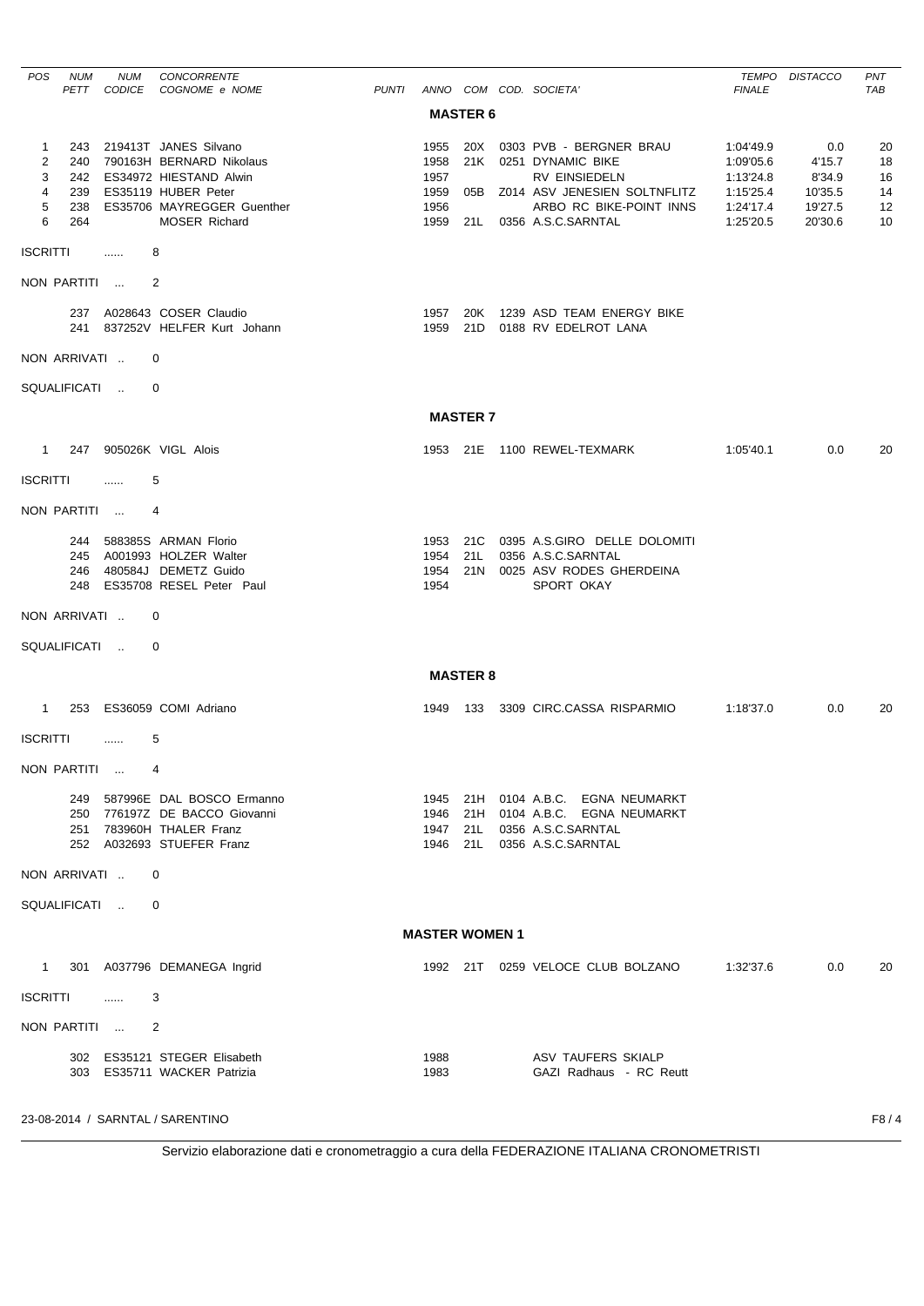| <b>POS</b>        | <b>NUM</b>   | <b>NUM</b>    | CONCORRENTE                                               |              |                       |                 |                                                      |                        | TEMPO DISTACCO   | <b>PNT</b> |
|-------------------|--------------|---------------|-----------------------------------------------------------|--------------|-----------------------|-----------------|------------------------------------------------------|------------------------|------------------|------------|
|                   | PETT         | <b>CODICE</b> | COGNOME e NOME                                            | <b>PUNTI</b> |                       | <b>MASTER 6</b> | ANNO COM COD. SOCIETA'                               | <b>FINALE</b>          |                  | <b>TAB</b> |
|                   |              |               |                                                           |              |                       |                 |                                                      |                        |                  |            |
| $\mathbf{1}$<br>2 |              |               | 243 219413T JANES Silvano<br>240 790163H BERNARD Nikolaus |              | 1955                  |                 | 20X 0303 PVB - BERGNER BRAU<br>21K 0251 DYNAMIC BIKE | 1:04'49.9              | 0.0              | 20         |
| 3                 |              |               | 242 ES34972 HIESTAND Alwin                                |              | 1958<br>1957          |                 | RV EINSIEDELN                                        | 1:09'05.6<br>1:13'24.8 | 4'15.7<br>8'34.9 | 18<br>16   |
| 4                 |              |               | 239 ES35119 HUBER Peter                                   |              | 1959                  |                 | 05B Z014 ASV JENESIEN SOLTNFLITZ                     | 1:15'25.4              | 10'35.5          | 14         |
| 5                 | 238          |               | ES35706 MAYREGGER Guenther                                |              | 1956                  |                 | ARBO RC BIKE-POINT INNS                              | 1:24'17.4              | 19'27.5          | 12         |
| 6                 | 264          |               | <b>MOSER Richard</b>                                      |              | 1959                  |                 | 21L 0356 A.S.C.SARNTAL                               | 1:25'20.5              | 20'30.6          | 10         |
| <b>ISCRITTI</b>   |              | $\ldots$      | 8                                                         |              |                       |                 |                                                      |                        |                  |            |
|                   | NON PARTITI  |               | 2                                                         |              |                       |                 |                                                      |                        |                  |            |
|                   |              |               | 237 A028643 COSER Claudio                                 |              | 1957                  |                 | 20K 1239 ASD TEAM ENERGY BIKE                        |                        |                  |            |
|                   |              |               | 241 837252V HELFER Kurt Johann                            |              | 1959                  |                 | 21D 0188 RV EDELROT LANA                             |                        |                  |            |
|                   | NON ARRIVATI |               | 0                                                         |              |                       |                 |                                                      |                        |                  |            |
|                   | SQUALIFICATI |               | 0                                                         |              |                       |                 |                                                      |                        |                  |            |
|                   |              |               |                                                           |              |                       | <b>MASTER 7</b> |                                                      |                        |                  |            |
|                   |              |               | 1 247 905026K VIGL Alois                                  |              |                       |                 | 1953 21E 1100 REWEL-TEXMARK                          | 1:05'40.1              | 0.0              | 20         |
| <b>ISCRITTI</b>   |              | $\cdots$      | 5                                                         |              |                       |                 |                                                      |                        |                  |            |
|                   | NON PARTITI  |               | 4                                                         |              |                       |                 |                                                      |                        |                  |            |
|                   |              |               | 244 588385S ARMAN Florio                                  |              |                       |                 | 1953 21C 0395 A.S.GIRO DELLE DOLOMITI                |                        |                  |            |
|                   |              |               | 245 A001993 HOLZER Walter                                 |              |                       |                 | 1954 21L 0356 A.S.C.SARNTAL                          |                        |                  |            |
|                   |              |               | 246 480584J DEMETZ Guido                                  |              | 1954                  |                 | 21N 0025 ASV RODES GHERDEINA                         |                        |                  |            |
|                   |              |               | 248 ES35708 RESEL Peter Paul                              |              | 1954                  |                 | <b>SPORT OKAY</b>                                    |                        |                  |            |
|                   | NON ARRIVATI |               | 0                                                         |              |                       |                 |                                                      |                        |                  |            |
|                   | SQUALIFICATI |               | 0                                                         |              |                       |                 |                                                      |                        |                  |            |
|                   |              |               |                                                           |              |                       | <b>MASTER 8</b> |                                                      |                        |                  |            |
|                   |              |               | 1 253 ES36059 COMI Adriano                                |              | 1949                  |                 | 133 3309 CIRC.CASSA RISPARMIO                        | 1:18'37.0              | 0.0              | 20         |
| <b>ISCRITTI</b>   |              | .             | 5                                                         |              |                       |                 |                                                      |                        |                  |            |
|                   |              | NON PARTITI   | 4                                                         |              |                       |                 |                                                      |                        |                  |            |
|                   |              |               | 249 587996E DAL BOSCO Ermanno                             |              |                       |                 | 1945 21H 0104 A.B.C. EGNA NEUMARKT                   |                        |                  |            |
|                   |              |               | 250 776197Z DE BACCO Giovanni                             |              |                       |                 | 1946 21H 0104 A.B.C. EGNA NEUMARKT                   |                        |                  |            |
|                   |              |               | 251 783960H THALER Franz                                  |              |                       |                 | 1947 21L 0356 A.S.C.SARNTAL                          |                        |                  |            |
|                   |              |               | 252 A032693 STUEFER Franz                                 |              |                       |                 | 1946 21L 0356 A.S.C.SARNTAL                          |                        |                  |            |
|                   | NON ARRIVATI |               | 0                                                         |              |                       |                 |                                                      |                        |                  |            |
|                   |              | SQUALIFICATI  | 0                                                         |              |                       |                 |                                                      |                        |                  |            |
|                   |              |               |                                                           |              | <b>MASTER WOMEN 1</b> |                 |                                                      |                        |                  |            |
|                   |              |               | 1 301 A037796 DEMANEGA Ingrid                             |              |                       |                 | 1992 21T 0259 VELOCE CLUB BOLZANO                    | 1:32'37.6              | 0.0              | 20         |
| <b>ISCRITTI</b>   |              | $\ldots$      | 3                                                         |              |                       |                 |                                                      |                        |                  |            |
|                   |              | NON PARTITI   | 2                                                         |              |                       |                 |                                                      |                        |                  |            |
|                   |              |               | 302 ES35121 STEGER Elisabeth                              |              | 1988                  |                 | ASV TAUFERS SKIALP                                   |                        |                  |            |
|                   |              |               | 303 ES35711 WACKER Patrizia                               |              | 1983                  |                 | GAZI Radhaus - RC Reutt                              |                        |                  |            |
|                   |              |               |                                                           |              |                       |                 |                                                      |                        |                  |            |
|                   |              |               | 23-08-2014 / SARNTAL / SARENTINO                          |              |                       |                 |                                                      |                        |                  | F8/4       |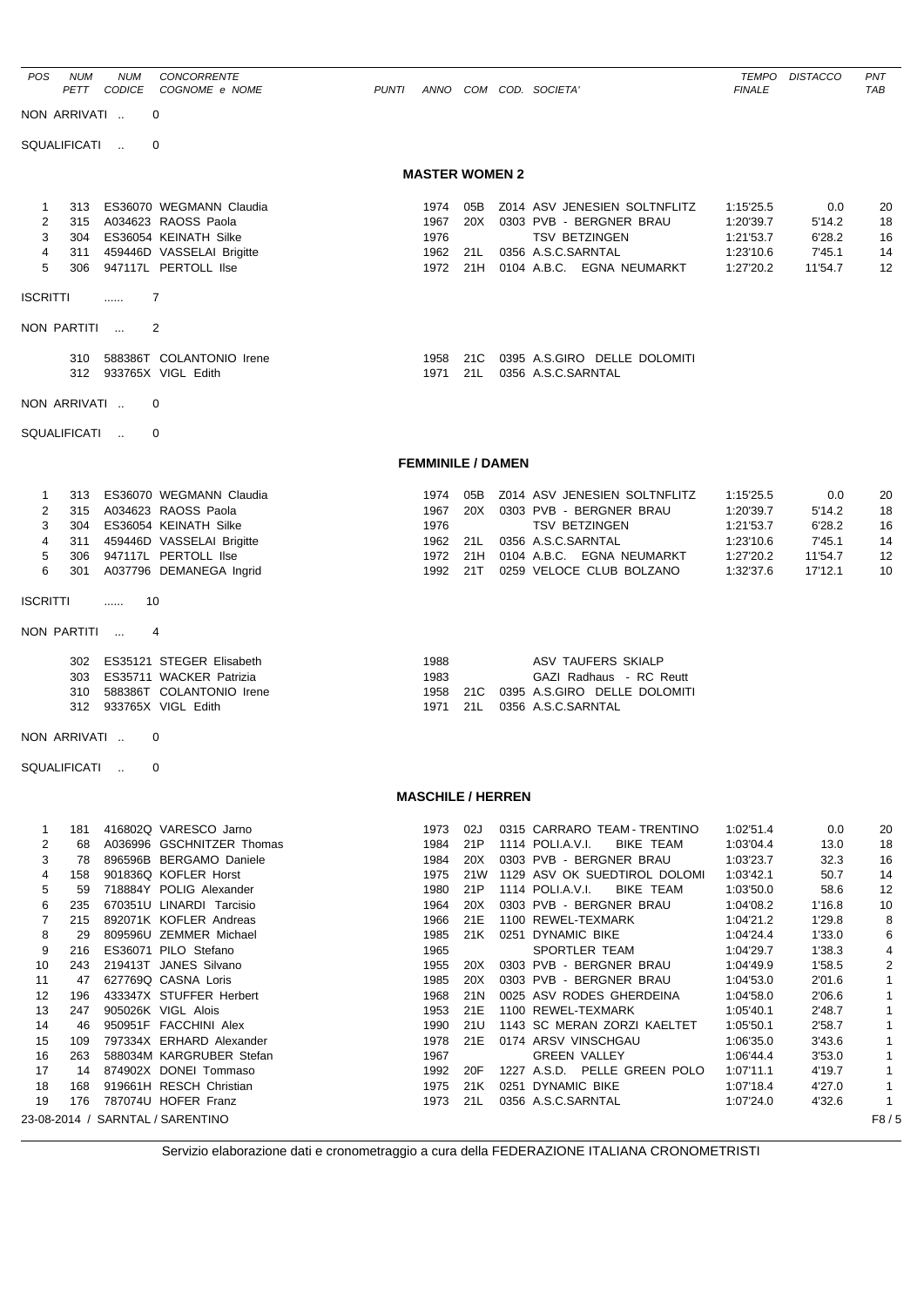| POS             | <b>NUM</b><br>PETT | <b>NUM</b><br><b>CODICE</b> | <b>CONCORRENTE</b><br>COGNOME e NOME                        | <b>PUNTI</b> |                          |            | ANNO COM COD. SOCIETA'                                  | TEMPO<br><b>FINALE</b> | <b>DISTACCO</b>  | PNT<br><b>TAB</b>    |
|-----------------|--------------------|-----------------------------|-------------------------------------------------------------|--------------|--------------------------|------------|---------------------------------------------------------|------------------------|------------------|----------------------|
| NON ARRIVATI    |                    |                             | $\Omega$                                                    |              |                          |            |                                                         |                        |                  |                      |
| SQUALIFICATI    |                    |                             | $\Omega$                                                    |              |                          |            |                                                         |                        |                  |                      |
|                 |                    |                             |                                                             |              | <b>MASTER WOMEN 2</b>    |            |                                                         |                        |                  |                      |
| $\mathbf{1}$    | 313                |                             | ES36070 WEGMANN Claudia                                     |              | 1974                     | 05B        | Z014 ASV JENESIEN SOLTNFLITZ                            | 1:15'25.5              | 0.0              | 20                   |
| 2<br>3          | 315                |                             | A034623 RAOSS Paola<br>304 ES36054 KEINATH Silke            |              | 1967<br>1976             | 20X        | 0303 PVB - BERGNER BRAU<br><b>TSV BETZINGEN</b>         | 1:20'39.7<br>1:21'53.7 | 5'14.2<br>6'28.2 | 18<br>16             |
| 4               | 311                |                             | 459446D VASSELAI Brigitte                                   |              | 1962                     | 21L        | 0356 A.S.C.SARNTAL                                      | 1:23'10.6              | 7'45.1           | 14                   |
| 5               | 306                |                             | 947117L PERTOLL IIse                                        |              | 1972 21H                 |            | 0104 A.B.C. EGNA NEUMARKT                               | 1:27'20.2              | 11'54.7          | $12 \overline{ }$    |
| <b>ISCRITTI</b> |                    | 1.1.1.1                     | 7                                                           |              |                          |            |                                                         |                        |                  |                      |
| NON PARTITI     |                    |                             | 2                                                           |              |                          |            |                                                         |                        |                  |                      |
|                 |                    |                             | 310 588386T COLANTONIO Irene                                |              | 1958                     | 21C        | 0395 A.S.GIRO DELLE DOLOMITI                            |                        |                  |                      |
|                 |                    |                             | 312 933765X VIGL Edith                                      |              | 1971                     | 21L        | 0356 A.S.C.SARNTAL                                      |                        |                  |                      |
| NON ARRIVATI    |                    |                             | 0                                                           |              |                          |            |                                                         |                        |                  |                      |
| SQUALIFICATI    |                    |                             | $\Omega$                                                    |              |                          |            |                                                         |                        |                  |                      |
|                 |                    |                             |                                                             |              | <b>FEMMINILE / DAMEN</b> |            |                                                         |                        |                  |                      |
| 1               | 313                |                             | ES36070 WEGMANN Claudia                                     |              | 1974                     | 05B        | Z014 ASV JENESIEN SOLTNFLITZ                            | 1:15'25.5              | 0.0              | 20                   |
| 2               |                    |                             | 315 A034623 RAOSS Paola                                     |              | 1967                     | 20X        | 0303 PVB - BERGNER BRAU                                 | 1:20'39.7              | 5'14.2           | 18                   |
| 3<br>4          |                    |                             | 304 ES36054 KEINATH Silke<br>311 459446D VASSELAI Brigitte  |              | 1976<br>1962             | 21L        | <b>TSV BETZINGEN</b><br>0356 A.S.C.SARNTAL              | 1:21'53.7<br>1:23'10.6 | 6'28.2<br>7'45.1 | 16<br>14             |
| 5               | 306                |                             | 947117L PERTOLL IIse                                        |              | 1972                     | 21H        | 0104 A.B.C. EGNA NEUMARKT                               | 1:27'20.2              | 11'54.7          | 12                   |
| 6               |                    |                             | 301 A037796 DEMANEGA Ingrid                                 |              | 1992                     | 21T        | 0259 VELOCE CLUB BOLZANO                                | 1:32'37.6              | 17'12.1          | 10                   |
| <b>ISCRITTI</b> |                    | .                           | 10                                                          |              |                          |            |                                                         |                        |                  |                      |
| NON PARTITI     |                    |                             | 4                                                           |              |                          |            |                                                         |                        |                  |                      |
|                 |                    |                             | 302 ES35121 STEGER Elisabeth                                |              | 1988                     |            | ASV TAUFERS SKIALP                                      |                        |                  |                      |
|                 | 303                |                             | ES35711 WACKER Patrizia                                     |              | 1983                     |            | GAZI Radhaus - RC Reutt                                 |                        |                  |                      |
|                 |                    |                             | 310 588386T COLANTONIO Irene                                |              | 1958                     | 21C        | 0395 A.S.GIRO DELLE DOLOMITI                            |                        |                  |                      |
|                 |                    |                             | 312 933765X VIGL Edith                                      |              | 1971                     | 21L        | 0356 A.S.C.SARNTAL                                      |                        |                  |                      |
| NON ARRIVATI    |                    |                             | 0                                                           |              |                          |            |                                                         |                        |                  |                      |
| SQUALIFICATI    |                    | $\overline{\mathbf{0}}$     |                                                             |              |                          |            |                                                         |                        |                  |                      |
|                 |                    |                             |                                                             |              | <b>MASCHILE / HERREN</b> |            |                                                         |                        |                  |                      |
| 1               | 181                |                             | 416802Q VARESCO Jarno                                       |              | 1973                     | 02J        | 0315 CARRARO TEAM - TRENTINO                            | 1:02'51.4              | 0.0              | 20                   |
| 2               | 68                 |                             | A036996 GSCHNITZER Thomas                                   |              | 1984                     | 21P        | 1114 POLI.A.V.I.<br>BIKE TEAM                           | 1:03'04.4              | 13.0             | 18                   |
| 3<br>4          | 158                |                             | 78 896596B BERGAMO Daniele<br>901836Q KOFLER Horst          |              | 1984<br>1975             | 20X<br>21W | 0303 PVB - BERGNER BRAU<br>1129 ASV OK SUEDTIROL DOLOMI | 1:03'23.7<br>1:03'42.1 | 32.3<br>50.7     | 16<br>14             |
| 5               | 59                 |                             | 718884Y POLIG Alexander                                     |              | 1980                     | 21P        | 1114 POLI.A.V.I.<br>BIKE TEAM                           | 1:03'50.0              | 58.6             | 12                   |
| 6               | 235                |                             | 670351U LINARDI Tarcisio                                    |              | 1964                     | 20X        | 0303 PVB - BERGNER BRAU                                 | 1:04'08.2              | 1'16.8           | 10                   |
| 7               | 215                |                             | 892071K KOFLER Andreas                                      |              | 1966                     | 21E        | 1100 REWEL-TEXMARK                                      | 1:04'21.2              | 1'29.8           | 8                    |
| 8               | 29                 |                             | 809596U ZEMMER Michael<br>ES36071 PILO Stefano              |              | 1985                     | 21K        | 0251 DYNAMIC BIKE                                       | 1:04'24.4              | 1'33.0           | 6                    |
| 9<br>10         | 216<br>243         |                             | 219413T JANES Silvano                                       |              | 1965<br>1955             | 20X        | SPORTLER TEAM<br>0303 PVB - BERGNER BRAU                | 1:04'29.7<br>1:04'49.9 | 1'38.3<br>1'58.5 | 4<br>$\overline{c}$  |
| 11              |                    |                             | 47 627769Q CASNA Loris                                      |              | 1985                     | 20X        | 0303 PVB - BERGNER BRAU                                 | 1:04'53.0              | 2'01.6           | $\mathbf{1}$         |
| 12              | 196                |                             | 433347X STUFFER Herbert                                     |              | 1968                     | 21N        | 0025 ASV RODES GHERDEINA                                | 1:04'58.0              | 2'06.6           | 1                    |
| 13              |                    |                             | 247 905026K VIGL Alois                                      |              | 1953                     |            | 21E 1100 REWEL-TEXMARK                                  | 1:05'40.1              | 2'48.7           | $\overline{1}$       |
| 14              | 46                 |                             | 950951F FACCHINI Alex                                       |              | 1990                     | 21U        | 1143 SC MERAN ZORZI KAELTET                             | 1:05'50.1              | 2'58.7           | 1                    |
| 15<br>16        | 109                |                             | 797334X ERHARD Alexander<br>263 588034M KARGRUBER Stefan    |              | 1978<br>1967             | 21E        | 0174 ARSV VINSCHGAU<br><b>GREEN VALLEY</b>              | 1:06'35.0<br>1:06'44.4 | 3'43.6<br>3'53.0 | 1<br>$\mathbf{1}$    |
| 17              |                    |                             | 14 874902X DONEI Tommaso                                    |              | 1992                     | 20F        | 1227 A.S.D. PELLE GREEN POLO                            | 1:07'11.1              | 4'19.7           | $\mathbf{1}$         |
| 18              | 168                |                             | 919661H RESCH Christian                                     |              | 1975                     | 21K        | 0251 DYNAMIC BIKE                                       | 1:07'18.4              | 4'27.0           | $\mathbf{1}$         |
| 19              |                    |                             | 176 787074U HOFER Franz<br>23-08-2014 / SARNTAL / SARENTINO |              | 1973                     | 21L        | 0356 A.S.C.SARNTAL                                      | 1:07'24.0              | 4'32.6           | $\mathbf{1}$<br>F8/5 |
|                 |                    |                             |                                                             |              |                          |            |                                                         |                        |                  |                      |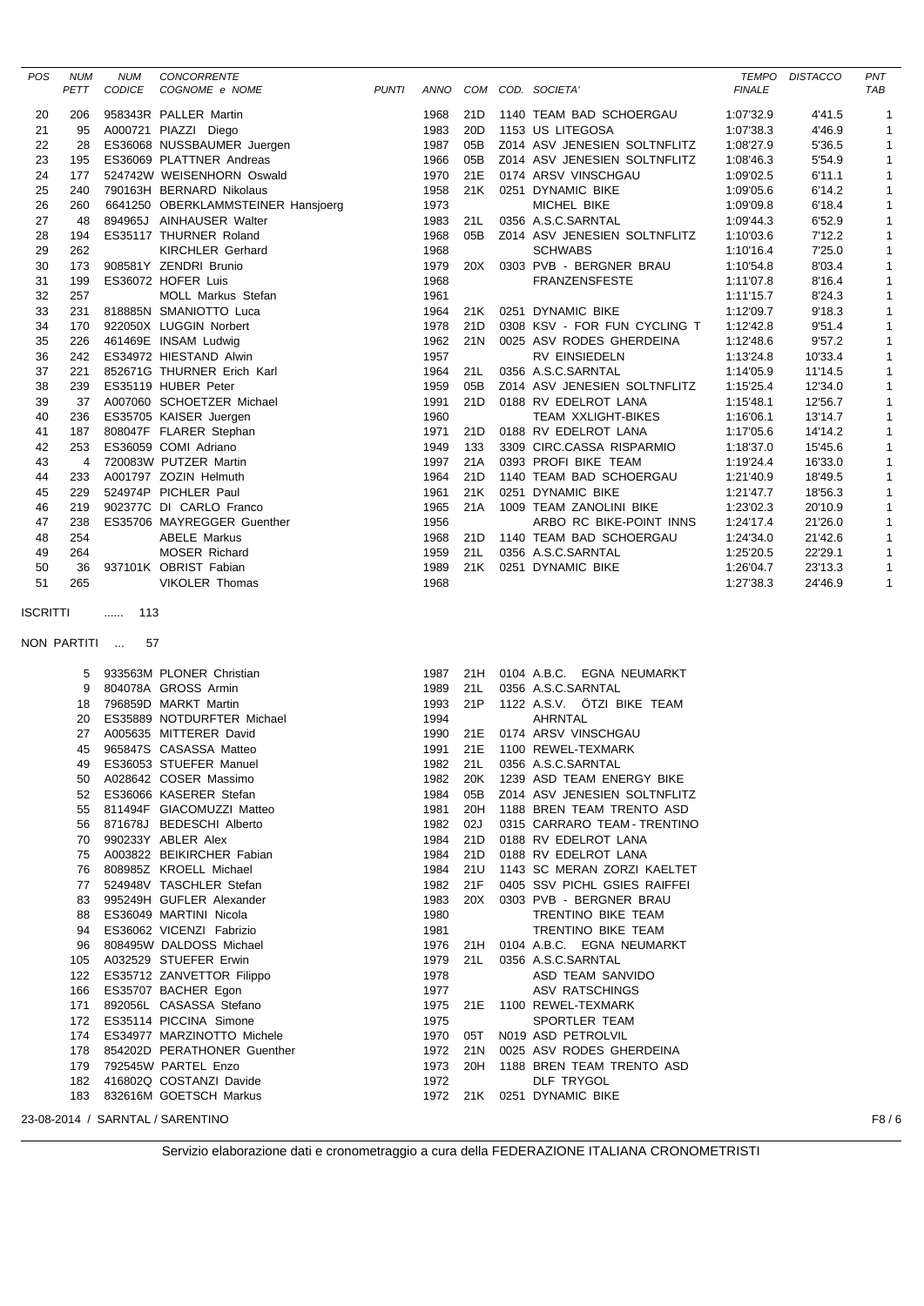| POS      | <b>NUM</b><br>PETT | <b>NUM</b><br>CODICE | CONCORRENTE<br>COGNOME e NOME                         | <b>PUNTI</b> |              |                 | ANNO COM COD. SOCIETA'                       | <b>FINALE</b>          | TEMPO DISTACCO     | PNT<br>TAB       |
|----------|--------------------|----------------------|-------------------------------------------------------|--------------|--------------|-----------------|----------------------------------------------|------------------------|--------------------|------------------|
| 20       | 206                |                      | 958343R PALLER Martin                                 |              | 1968         | 21D             | 1140 TEAM BAD SCHOERGAU                      | 1:07'32.9              | 4'41.5             | 1                |
| 21       | 95                 |                      | A000721 PIAZZI Diego                                  |              | 1983         | 20 <sub>D</sub> | 1153 US LITEGOSA                             | 1:07'38.3              | 4'46.9             | 1                |
| 22       | 28                 |                      | ES36068 NUSSBAUMER Juergen                            |              | 1987         | 05B             | Z014 ASV JENESIEN SOLTNFLITZ                 | 1:08'27.9              | 5'36.5             | 1                |
| 23       | 195                |                      | ES36069 PLATTNER Andreas                              |              | 1966         | 05B             | Z014 ASV JENESIEN SOLTNFLITZ                 | 1:08'46.3              | 5'54.9             | 1                |
| 24       | 177                |                      | 524742W WEISENHORN Oswald                             |              | 1970         | 21E             | 0174 ARSV VINSCHGAU                          | 1:09'02.5              | 6'11.1             | $\mathbf{1}$     |
| 25       | 240                |                      | 790163H BERNARD Nikolaus                              |              | 1958         | 21K             | 0251 DYNAMIC BIKE                            | 1:09'05.6              | 6'14.2             | 1                |
| 26       | 260                |                      | 6641250 OBERKLAMMSTEINER Hansjoerg                    |              | 1973         |                 | MICHEL BIKE                                  | 1:09'09.8              | 6'18.4             | $\mathbf 1$      |
| 27       | 48                 |                      | 894965J AINHAUSER Walter                              |              | 1983         | 21L             | 0356 A.S.C.SARNTAL                           | 1:09'44.3              | 6'52.9             | 1                |
| 28       | 194                |                      | ES35117 THURNER Roland                                |              | 1968         | 05B             | Z014 ASV JENESIEN SOLTNFLITZ                 | 1:10'03.6              | 7'12.2             | $\mathbf{1}$     |
| 29       | 262                |                      | <b>KIRCHLER Gerhard</b>                               |              | 1968         |                 | <b>SCHWABS</b>                               | 1:10'16.4              | 7'25.0             | $\mathbf 1$      |
| 30       | 173                |                      | 908581Y ZENDRI Brunio                                 |              | 1979         | 20X             | 0303 PVB - BERGNER BRAU                      | 1:10'54.8              | 8'03.4             | 1                |
| 31       | 199                |                      | ES36072 HOFER Luis                                    |              | 1968         |                 | <b>FRANZENSFESTE</b>                         | 1:11'07.8              | 8'16.4             | 1                |
| 32       | 257                |                      | MOLL Markus Stefan                                    |              | 1961         |                 |                                              | 1:11'15.7              | 8'24.3             | $\mathbf 1$      |
| 33       | 231                |                      | 818885N SMANIOTTO Luca                                |              | 1964         | 21K             | 0251 DYNAMIC BIKE                            | 1:12'09.7              | 9'18.3             | $\mathbf{1}$     |
| 34       | 170                |                      | 922050X LUGGIN Norbert                                |              | 1978         | 21D             | 0308 KSV - FOR FUN CYCLING T                 | 1:12'42.8              | 9'51.4             | 1                |
| 35       | 226                |                      | 461469E INSAM Ludwig                                  |              | 1962         | 21N             | 0025 ASV RODES GHERDEINA                     | 1:12'48.6              | 9'57.2             | $\mathbf 1$      |
| 36       | 242                |                      | ES34972 HIESTAND Alwin                                |              | 1957         |                 | RV EINSIEDELN                                | 1:13'24.8              | 10'33.4            | 1                |
| 37       | 221                |                      | 852671G THURNER Erich Karl                            |              | 1964         | 21L             | 0356 A.S.C.SARNTAL                           | 1:14'05.9              | 11'14.5            | $\mathbf 1$      |
| 38       | 239                |                      | ES35119 HUBER Peter                                   |              | 1959         | 05B             | Z014 ASV JENESIEN SOLTNFLITZ                 | 1:15'25.4              | 12'34.0            | 1                |
| 39       | 37                 |                      | A007060 SCHOETZER Michael                             |              | 1991         | 21D             | 0188 RV EDELROT LANA                         | 1:15'48.1              | 12'56.7            | $\mathbf 1$      |
| 40       | 236                |                      | ES35705 KAISER Juergen                                |              | 1960         |                 | <b>TEAM XXLIGHT-BIKES</b>                    | 1:16'06.1              | 13'14.7            | $\mathbf 1$      |
| 41       | 187                |                      | 808047F FLARER Stephan                                |              | 1971         | 21D             | 0188 RV EDELROT LANA                         | 1:17'05.6              | 14'14.2            | 1                |
| 42       | 253                |                      | ES36059 COMI Adriano                                  |              | 1949         | 133             | 3309 CIRC.CASSA RISPARMIO                    | 1:18'37.0              | 15'45.6            | 1                |
| 43       | 4                  |                      | 720083W PUTZER Martin                                 |              | 1997         | 21A             | 0393 PROFI BIKE TEAM                         | 1:19'24.4              | 16'33.0            | $\mathbf 1$      |
| 44       | 233                |                      | A001797 ZOZIN Helmuth                                 |              | 1964         | 21D             | 1140 TEAM BAD SCHOERGAU                      | 1:21'40.9              | 18'49.5            | $\mathbf{1}$     |
| 45       | 229                |                      | 524974P PICHLER Paul                                  |              | 1961         | 21K             | 0251 DYNAMIC BIKE<br>1009 TEAM ZANOLINI BIKE | 1:21'47.7              | 18'56.3            | $\mathbf 1$      |
| 46<br>47 | 219<br>238         |                      | 902377C DI CARLO Franco<br>ES35706 MAYREGGER Guenther |              | 1965<br>1956 | 21A             | ARBO RC BIKE-POINT INNS                      | 1:23'02.3<br>1:24'17.4 | 20'10.9<br>21'26.0 | 1<br>$\mathbf 1$ |
| 48       | 254                |                      | <b>ABELE Markus</b>                                   |              | 1968         | 21D             | 1140 TEAM BAD SCHOERGAU                      | 1:24'34.0              | 21'42.6            | 1                |
| 49       | 264                |                      | MOSER Richard                                         |              | 1959         | 21L             | 0356 A.S.C.SARNTAL                           | 1:25'20.5              | 22'29.1            | $\mathbf{1}$     |
| 50       | 36                 |                      | 937101K OBRIST Fabian                                 |              | 1989         |                 | 21K 0251 DYNAMIC BIKE                        | 1:26'04.7              | 23'13.3            | $\mathbf 1$      |
| 51       | 265                |                      | <b>VIKOLER Thomas</b>                                 |              | 1968         |                 |                                              | 1:27'38.3              | 24'46.9            | $\mathbf{1}$     |
| ISCRITTI |                    | 113<br>$\cdots$      |                                                       |              |              |                 |                                              |                        |                    |                  |
|          |                    |                      |                                                       |              |              |                 |                                              |                        |                    |                  |
|          | NON PARTITI        | 57                   |                                                       |              |              |                 |                                              |                        |                    |                  |
|          | 5                  |                      | 933563M PLONER Christian                              |              | 1987         | 21H             | 0104 A.B.C. EGNA NEUMARKT                    |                        |                    |                  |
|          | 9                  |                      | 804078A GROSS Armin                                   |              | 1989         | 21L             |                                              |                        |                    |                  |
|          | 18                 |                      |                                                       |              |              |                 | 0356 A.S.C.SARNTAL                           |                        |                    |                  |
|          |                    |                      | 796859D MARKT Martin                                  |              | 1993         | 21P             | 1122 A.S.V. OTZI BIKE TEAM                   |                        |                    |                  |
|          | 20                 |                      | ES35889 NOTDURFTER Michael                            |              | 1994         |                 | AHRNTAL                                      |                        |                    |                  |
|          | 27                 |                      | A005635 MITTERER David                                |              | 1990         | 21E             | 0174 ARSV VINSCHGAU                          |                        |                    |                  |
|          | 45                 |                      | 965847S CASASSA Matteo                                |              | 1991         | 21E             | 1100 REWEL-TEXMARK                           |                        |                    |                  |
|          | 49                 |                      | ES36053 STUEFER Manuel                                |              | 1982         | 21L             | 0356 A.S.C.SARNTAL                           |                        |                    |                  |
|          | 50                 |                      | A028642 COSER Massimo                                 |              | 1982         | 20K             | 1239 ASD TEAM ENERGY BIKE                    |                        |                    |                  |
|          | 52                 |                      | ES36066 KASERER Stefan                                |              | 1984         | 05B             | Z014 ASV JENESIEN SOLTNFLITZ                 |                        |                    |                  |
|          | 55                 |                      | 811494F GIACOMUZZI Matteo                             |              | 1981         | 20H             | 1188 BREN TEAM TRENTO ASD                    |                        |                    |                  |
|          | 56                 |                      | 871678J BEDESCHI Alberto                              |              | 1982         | 02J             | 0315 CARRARO TEAM - TRENTINO                 |                        |                    |                  |
|          | 70                 |                      | 990233Y ABLER Alex                                    |              | 1984         | 21D             | 0188 RV EDELROT LANA                         |                        |                    |                  |
|          | 75                 |                      | A003822 BEIKIRCHER Fabian                             |              | 1984         | 21D             | 0188 RV EDELROT LANA                         |                        |                    |                  |
|          | 76                 |                      | 808985Z KROELL Michael                                |              | 1984         | 21U             | 1143 SC MERAN ZORZI KAELTET                  |                        |                    |                  |
|          | 77                 |                      | 524948V TASCHLER Stefan                               |              | 1982         | 21F             | 0405 SSV PICHL GSIES RAIFFEI                 |                        |                    |                  |
|          | 83                 |                      | 995249H GUFLER Alexander                              |              | 1983         | 20X             | 0303 PVB - BERGNER BRAU                      |                        |                    |                  |
|          | 88                 |                      | ES36049 MARTINI Nicola                                |              | 1980         |                 | TRENTINO BIKE TEAM                           |                        |                    |                  |
|          | 94                 |                      | ES36062 VICENZI Fabrizio                              |              | 1981         |                 | TRENTINO BIKE TEAM                           |                        |                    |                  |
|          | 96                 |                      | 808495W DALDOSS Michael                               |              | 1976         | 21H             | 0104 A.B.C. EGNA NEUMARKT                    |                        |                    |                  |
|          | 105                |                      | A032529 STUEFER Erwin                                 |              | 1979         | 21L             | 0356 A.S.C.SARNTAL                           |                        |                    |                  |
|          | 122<br>166         |                      | ES35712 ZANVETTOR Filippo                             |              | 1978         |                 | ASD TEAM SANVIDO                             |                        |                    |                  |
|          | 171                |                      | ES35707 BACHER Egon<br>892056L CASASSA Stefano        |              | 1977<br>1975 | 21E             | ASV RATSCHINGS<br>1100 REWEL-TEXMARK         |                        |                    |                  |
|          | 172                |                      | ES35114 PICCINA Simone                                |              | 1975         |                 | SPORTLER TEAM                                |                        |                    |                  |
|          | 174                |                      | ES34977 MARZINOTTO Michele                            |              | 1970         | 05T             | N019 ASD PETROLVIL                           |                        |                    |                  |
|          | 178                |                      | 854202D PERATHONER Guenther                           |              | 1972         | 21N             | 0025 ASV RODES GHERDEINA                     |                        |                    |                  |
|          | 179                |                      | 792545W PARTEL Enzo                                   |              | 1973         | 20H             | 1188 BREN TEAM TRENTO ASD                    |                        |                    |                  |
|          | 182                |                      | 416802Q COSTANZI Davide                               |              | 1972         |                 | DLF TRYGOL                                   |                        |                    |                  |
|          | 183                |                      | 832616M GOETSCH Markus                                |              | 1972 21K     |                 | 0251 DYNAMIC BIKE                            |                        |                    |                  |